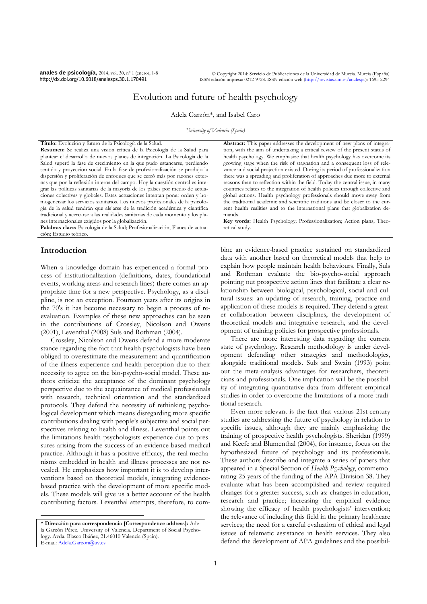**anales de psicología,** 2014, vol. 30, nº 1 (enero), 1-8 http://dx.doi.org/10.6018/analesps.30.1.170491

© Copyright 2014: Servicio de Publicaciones de la Universidad de Murcia. Murcia (España)<br>edición impresa: 0212-9728. ISSN edición web (http://revistas.um.es/analesps): 1695-2294 ISSN edición impresa: 0212-9728. ISSN edición web (http://revista.um

# Evolution and future of health psychology

Adela Garzón\*, and Isabel Caro

*University of Valencia (Spain)*

**Título:** Evolución y futuro de la Psicología de la Salud.

**Resumen:** Se realiza una visión crítica de la Psicología de la Salud para plantear el desarrollo de nuevos planes de integración. La Psicología de la Salud superó la fase de crecimiento en la que pudo estancarse, perdiendo sentido y proyección social. En la fase de profesionalización se produjo la dispersión y proliferación de enfoques que se cerró más por razones externas que por la reflexión interna del campo. Hoy la cuestión central es integrar las políticas sanitarias de la mayoría de los países por medio de actuaciones colectivas y globales. Estas actuaciones intentan poner orden y homogeneizar los servicios sanitarios. Los nuevos profesionales de la psicología de la salud tendrán que alejarse de la tradición académica y científica tradicional y acercarse a las realidades sanitarias de cada momento y los planes internacionales exigidos por la globalización.

**Palabras clave:** Psicología de la Salud; Profesionalización; Planes de actuación; Estudio teórico.

### **Introduction**

 $\overline{a}$ 

When a knowledge domain has experienced a formal process of institutionalization (definitions, dates, foundational events, working areas and research lines) there comes an appropriate time for a new perspective. Psychology, as a discipline, is not an exception. Fourteen years after its origins in the 70's it has become necessary to begin a process of reevaluation. Examples of these new approaches can be seen in the contributions of Crossley, Nicolson and Owens (2001), Leventhal (2008) Suls and Rothman (2004).

Crossley, Nicolson and Owens defend a more moderate stance regarding the fact that health psychologists have been obliged to overestimate the measurement and quantification of the illness experience and health perception due to their necessity to agree on the bio-psycho-social model. These authors criticize the acceptance of the dominant psychology perspective due to the acquaintance of medical professionals with research, technical orientation and the standardized protocols. They defend the necessity of rethinking psychological development which means disregarding more specific contributions dealing with people's subjective and social perspectives relating to health and illness. Leventhal points out the limitations health psychologists experience due to pressures arising from the success of an evidence-based medical practice. Although it has a positive efficacy, the real mechanisms embedded in health and illness processes are not revealed. He emphasizes how important it is to develop interventions based on theoretical models, integrating evidencebased practice with the development of more specific models. These models will give us a better account of the health contributing factors. Leventhal attempts, therefore, to com-

**\* Dirección para correspondencia [Correspondence address]:** Adela Garzón Pérez. University of Valencia. Department of Social Psychology. Avda. Blasco Ibáñez, 21.46010 Valencia (Spain). E-mail[: Adela.Garzon@uv.es](mailto:Adela.Garzon@uv.es)

**Abstract:** This paper addresses the development of new plans of integration, with the aim of undertaking a critical review of the present status of health psychology. We emphasize that health psychology has overcome its growing stage when the risk of stagnation and a consequent loss of relevance and social projection existed. During its period of professionalization there was a spreading and proliferation of approaches due more to external reasons than to reflection within the field. Today the central issue, in many countries relates to the integration of health policies through collective and global actions. Health psychology professionals should move away from the traditional academic and scientific traditions and be closer to the current health realities and to the international plans that globalization demands.

**Key words:** Health Psychology; Professionalization; Action plans; Theoretical study.

bine an evidence-based practice sustained on standardized data with another based on theoretical models that help to explain how people maintain health behaviours. Finally, Suls and Rothman evaluate the bio-psycho-social approach pointing out prospective action lines that facilitate a clear relationship between biological, psychological, social and cultural issues: an updating of research, training, practice and application of these models is required. They defend a greater collaboration between disciplines, the development of theoretical models and integrative research, and the development of training policies for prospective professionals.

There are more interesting data regarding the current state of psychology. Research methodology is under development defending other strategies and methodologies, alongside traditional models. Suls and Swain (1993) point out the meta-analysis advantages for researchers, theoreticians and professionals. One implication will be the possibility of integrating quantitative data from different empirical studies in order to overcome the limitations of a more traditional research.

Even more relevant is the fact that various 21st century studies are addressing the future of psychology in relation to specific issues, although they are mainly emphasizing the training of prospective health psychologists. Sheridan (1999) and Keefe and Blumenthal (2004), for instance, focus on the hypothesized future of psychology and its professionals. These authors describe and integrate a series of papers that appeared in a Special Section of *Health Psychology*, commemorating 25 years of the funding of the APA Division 38. They evaluate what has been accomplished and review required changes for a greater success, such as: changes in education, research and practice; increasing the empirical evidence showing the efficacy of health psychologists' intervention; the relevance of including this field in the primary healthcare services; the need for a careful evaluation of ethical and legal issues of telematic assistance in health services. They also defend the development of APA guidelines and the possibil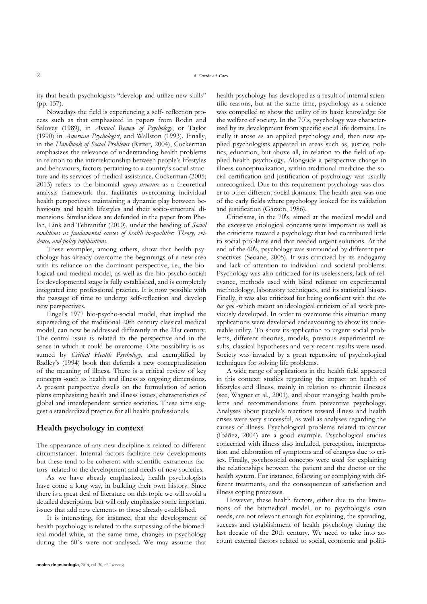ity that health psychologists "develop and utilize new skills" (pp. 157).

Nowadays the field is experiencing a self- reflection process such as that emphasized in papers from Rodin and Salovey (1989), in *Annual Review of Psychology*, or Taylor (1990) in *American Psychologist*, and Wallston (1993). Finally, in the *Handbook of Social Problems* (Ritzer, 2004), Cockerman emphasizes the relevance of understanding health problems in relation to the interrelationship between people's lifestyles and behaviours, factors pertaining to a country's social structure and its services of medical assistance. Cockerman (2005; 2013) refers to the binomial *agency-structure* as a theoretical analysis framework that facilitates overcoming individual health perspectives maintaining a dynamic play between behaviours and health lifestyles and their socio-structural dimensions. Similar ideas are defended in the paper from Phelan, Link and Tehranifar (2010), under the heading of *Social conditions as fundamental causes of health inequalities: Theory, evidence, and policy implications*.

These examples, among others, show that health psychology has already overcome the beginnings of a new area with its reliance on the dominant perspective, i.e., the biological and medical model, as well as the bio-psycho-social: Its developmental stage is fully established, and is completely integrated into professional practice. It is now possible with the passage of time to undergo self-reflection and develop new perspectives.

Engel's 1977 bio-psycho-social model, that implied the superseding of the traditional 20th century classical medical model, can now be addressed differently in the 21st century. The central issue is related to the perspective and in the sense in which it could be overcome. One possibility is assumed by *Critical Health Psychology*, and exemplified by Radley's (1994) book that defends a new conceptualization of the meaning of illness. There is a critical review of key concepts -such as health and illness as ongoing dimensions. A present perspective dwells on the formulation of action plans emphasizing health and illness issues, characteristics of global and interdependent service societies. These aims suggest a standardized practice for all health professionals.

### **Health psychology in context**

The appearance of any new discipline is related to different circumstances. Internal factors facilitate new developments but these tend to be coherent with scientific extraneous factors -related to the development and needs of new societies.

As we have already emphasized, health psychologists have come a long way, in building their own history. Since there is a great deal of literature on this topic we will avoid a detailed description, but will only emphasize some important issues that add new elements to those already established.

It is interesting, for instance, that the development of health psychology is related to the surpassing of the biomedical model while, at the same time, changes in psychology during the 60`s were not analysed. We may assume that

health psychology has developed as a result of internal scientific reasons, but at the same time, psychology as a science was compelled to show the utility of its basic knowledge for the welfare of society. In the 70`s, psychology was characterized by its development from specific social life domains. Initially it arose as an applied psychology and, then new applied psychologists appeared in areas such as, justice, politics, education, but above all, in relation to the field of applied health psychology. Alongside a perspective change in illness conceptualization, within traditional medicine the social certification and justification of psychology was usually unrecognized. Due to this requirement psychology was closer to other different social domains: The health area was one of the early fields where psychology looked for its validation and justification (Garzón, 1986).

Criticisms, in the 70's, aimed at the medical model and the excessive etiological concerns were important as well as the criticisms toward a psychology that had contributed little to social problems and that needed urgent solutions. At the end of the 60's, psychology was surrounded by different perspectives (Seoane, 2005). It was criticized by its endogamy and lack of attention to individual and societal problems. Psychology was also criticized for its uselessness, lack of relevance, methods used with blind reliance on experimental methodology, laboratory techniques, and its statistical biases. Finally, it was also criticized for being confident with the *status quo* -which meant an ideological criticism of all work previously developed. In order to overcome this situation many applications were developed endeavouring to show its undeniable utility. To show its application to urgent social problems, different theories, models, previous experimental results, classical hypotheses and very recent results were used. Society was invaded by a great repertoire of psychological techniques for solving life problems.

A wide range of applications in the health field appeared in this context: studies regarding the impact on health of lifestyles and illness, mainly in relation to chronic illnesses (see, Wagner et al., 2001), and about managing health problems and recommendations from preventive psychology. Analyses about people's reactions toward illness and health crises were very successful, as well as analyses regarding the causes of illness. Psychological problems related to cancer (Ibáñez, 2004) are a good example. Psychological studies concerned with illness also included, perception, interpretation and elaboration of symptoms and of changes due to crises. Finally, psychosocial concepts were used for explaining the relationships between the patient and the doctor or the health system. For instance, following or complying with different treatments, and the consequences of satisfaction and illness coping processes.

However, these health factors, either due to the limitations of the biomedical model, or to psychology's own needs, are not relevant enough for explaining, the spreading, success and establishment of health psychology during the last decade of the 20th century. We need to take into account external factors related to social, economic and politi-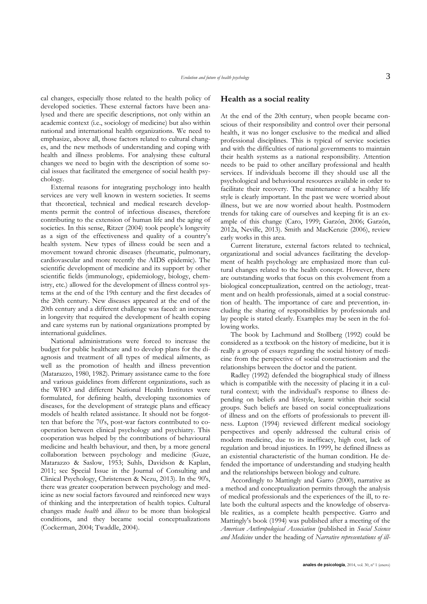cal changes, especially those related to the health policy of developed societies. These external factors have been analysed and there are specific descriptions, not only within an academic context (i.e., sociology of medicine) but also within national and international health organizations. We need to emphasize, above all, those factors related to cultural changes, and the new methods of understanding and coping with health and illness problems. For analysing these cultural changes we need to begin with the description of some social issues that facilitated the emergence of social health psychology.

External reasons for integrating psychology into health services are very well known in western societies. It seems that theoretical, technical and medical research developments permit the control of infectious diseases, therefore contributing to the extension of human life and the aging of societies. In this sense, Ritzer (2004) took people's longevity as a sign of the effectiveness and quality of a country's health system. New types of illness could be seen and a movement toward chronic diseases (rheumatic, pulmonary, cardiovascular and more recently the AIDS epidemic). The scientific development of medicine and its support by other scientific fields (immunology, epidemiology, biology, chemistry, etc.) allowed for the development of illness control systems at the end of the 19th century and the first decades of the 20th century. New diseases appeared at the end of the 20th century and a different challenge was faced: an increase in longevity that required the development of health coping and care systems run by national organizations prompted by international guidelines.

National administrations were forced to increase the budget for public healthcare and to develop plans for the diagnosis and treatment of all types of medical ailments, as well as the promotion of health and illness prevention (Matarazzo, 1980, 1982). Primary assistance came to the fore and various guidelines from different organizations, such as the WHO and different National Health Institutes were formulated, for defining health, developing taxonomies of diseases, for the development of strategic plans and efficacy models of health related assistance. It should not be forgotten that before the 70's, post-war factors contributed to cooperation between clinical psychology and psychiatry. This cooperation was helped by the contributions of behavioural medicine and health behaviour, and then, by a more general collaboration between psychology and medicine (Guze, Matarazzo & Saslow, 1953; Suhls, Davidson & Kaplan, 2011; see Special Issue in the Journal of Consulting and Clinical Psychology, Christensen & Nezu, 2013). In the 90's, there was greater cooperation between psychology and medicine as new social factors favoured and reinforced new ways of thinking and the interpretation of health topics. Cultural changes made *health* and *illness* to be more than biological conditions, and they became social conceptualizations (Cockerman, 2004; Twaddle, 2004).

## **Health as a social reality**

At the end of the 20th century, when people became conscious of their responsibility and control over their personal health, it was no longer exclusive to the medical and allied professional disciplines. This is typical of service societies and with the difficulties of national governments to maintain their health systems as a national responsibility. Attention needs to be paid to other ancillary professional and health services. If individuals become ill they should use all the psychological and behavioural resources available in order to facilitate their recovery. The maintenance of a healthy life style is clearly important. In the past we were worried about illness, but we are now worried about health. Postmodern trends for taking care of ourselves and keeping fit is an example of this change (Caro, 1999; Garzón, 2006; Garzón, 2012a, Neville, 2013). Smith and MacKenzie (2006), review early works in this area.

Current literature, external factors related to technical, organizational and social advances facilitating the development of health psychology are emphasized more than cultural changes related to the health concept. However, there are outstanding works that focus on this evolvement from a biological conceptualization, centred on the aetiology, treatment and on health professionals, aimed at a social construction of health. The importance of care and prevention, including the sharing of responsibilities by professionals and lay people is stated clearly. Examples may be seen in the following works.

The book by Lachmund and Stollberg (1992) could be considered as a textbook on the history of medicine, but it is really a group of essays regarding the social history of medicine from the perspective of social constructionism and the relationships between the doctor and the patient.

Radley (1992) defended the biographical study of illness which is compatible with the necessity of placing it in a cultural context; with the individual's response to illness depending on beliefs and lifestyle, learnt within their social groups. Such beliefs are based on social conceptualizations of illness and on the efforts of professionals to prevent illness. Lupton (1994) reviewed different medical sociology perspectives and openly addressed the cultural crisis of modern medicine, due to its inefficacy, high cost, lack of regulation and broad injustices. In 1999, he defined illness as an existential characteristic of the human condition. He defended the importance of understanding and studying health and the relationships between biology and culture.

Accordingly to Mattingly and Garro (2000), narrative as a method and conceptualization permits through the analysis of medical professionals and the experiences of the ill, to relate both the cultural aspects and the knowledge of observable realities, as a complete health perspective. Garro and Mattingly's book (1994) was published after a meeting of the *American Anthropological Association* (published in *Social Science and Medicine* under the heading of *Narrative representations of ill-*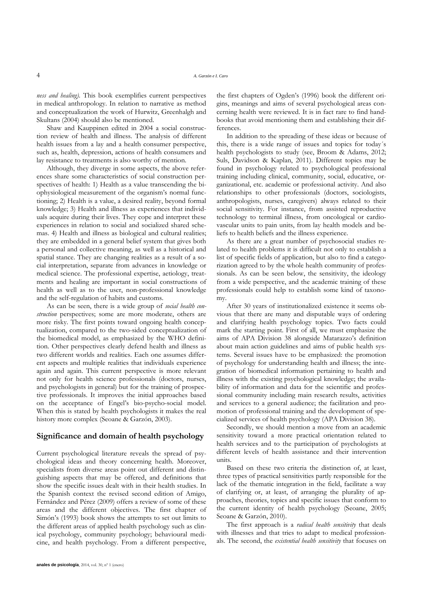*ness and healing).* This book exemplifies current perspectives in medical anthropology. In relation to narrative as method and conceptualization the work of Hurwitz, Greenhalgh and Skultans (2004) should also be mentioned.

Shaw and Kauppinen edited in 2004 a social construction review of health and illness. The analysis of different health issues from a lay and a health consumer perspective, such as, health, depression, actions of health consumers and lay resistance to treatments is also worthy of mention.

Although, they diverge in some aspects, the above references share some characteristics of social construction perspectives of health: 1) Health as a value transcending the biophysiological measurement of the organism's normal functioning; 2) Health is a value, a desired reality, beyond formal knowledge; 3) Health and illness as experiences that individuals acquire during their lives. They cope and interpret these experiences in relation to social and socialized shared schemas. 4) Health and illness as biological and cultural realities; they are embedded in a general belief system that gives both a personal and collective meaning, as well as a historical and spatial stance. They are changing realities as a result of a social interpretation, separate from advances in knowledge or medical science. The professional expertise, aetiology, treatments and healing are important in social constructions of health as well as to the user, non-professional knowledge and the self-regulation of habits and customs.

As can be seen, there is a wide group of *social health construction* perspectives; some are more moderate, others are more risky. The first points toward ongoing health conceptualization, compared to the two-sided conceptualization of the biomedical model, as emphasized by the WHO definition. Other perspectives clearly defend health and illness as two different worlds and realities. Each one assumes different aspects and multiple realities that individuals experience again and again. This current perspective is more relevant not only for health science professionals (doctors, nurses, and psychologists in general) but for the training of prospective professionals. It improves the initial approaches based on the acceptance of Engel's bio-psycho-social model. When this is stated by health psychologists it makes the real history more complex (Seoane & Garzón, 2003).

#### **Significance and domain of health psychology**

Current psychological literature reveals the spread of psychological ideas and theory concerning health. Moreover, specialists from diverse areas point out different and distinguishing aspects that may be offered, and definitions that show the specific issues dealt with in their health studies. In the Spanish context the revised second edition of Amigo, Fernández and Pérez (2009) offers a review of some of these areas and the different objectives. The first chapter of Simón's (1993) book shows the attempts to set out limits to the different areas of applied health psychology such as clinical psychology, community psychology; behavioural medicine, and health psychology. From a different perspective,

the first chapters of Ogden's (1996) book the different origins, meanings and aims of several psychological areas concerning health were reviewed. It is in fact rare to find handbooks that avoid mentioning them and establishing their differences.

In addition to the spreading of these ideas or because of this, there is a wide range of issues and topics for today´s health psychologists to study (see, Broom & Adams, 2012; Suls, Davidson & Kaplan, 2011). Different topics may be found in psychology related to psychological professional training including clinical, community, social, educative, organizational, etc. academic or professional activity. And also relationships to other professionals (doctors, sociologists, anthropologists, nurses, caregivers) always related to their social sensitivity. For instance, from assisted reproductive technology to terminal illness, from oncological or cardiovascular units to pain units, from lay health models and beliefs to health beliefs and the illness experience.

As there are a great number of psychosocial studies related to health problems it is difficult not only to establish a list of specific fields of application, but also to find a categorization agreed to by the whole health community of professionals. As can be seen below, the sensitivity, the ideology from a wide perspective, and the academic training of these professionals could help to establish some kind of taxonomy.

After 30 years of institutionalized existence it seems obvious that there are many and disputable ways of ordering and clarifying health psychology topics. Two facts could mark the starting point. First of all, we must emphasize the aims of APA Division 38 alongside Matarazzo's definition about main action guidelines and aims of public health systems. Several issues have to be emphasized: the promotion of psychology for understanding health and illness; the integration of biomedical information pertaining to health and illness with the existing psychological knowledge; the availability of information and data for the scientific and professional community including main research results, activities and services to a general audience; the facilitation and promotion of professional training and the development of specialized services of health psychology (APA Division 38).

Secondly, we should mention a move from an academic sensitivity toward a more practical orientation related to health services and to the participation of psychologists at different levels of health assistance and their intervention units.

Based on these two criteria the distinction of, at least, three types of practical sensitivities partly responsible for the lack of the thematic integration in the field, facilitate a way of clarifying or, at least, of arranging the plurality of approaches, theories, topics and specific issues that conform to the current identity of health psychology (Seoane, 2005; Seoane & Garzón, 2010).

The first approach is a *radical health sensitivity* that deals with illnesses and that tries to adapt to medical professionals. The second, the *existential health sensitivity* that focuses on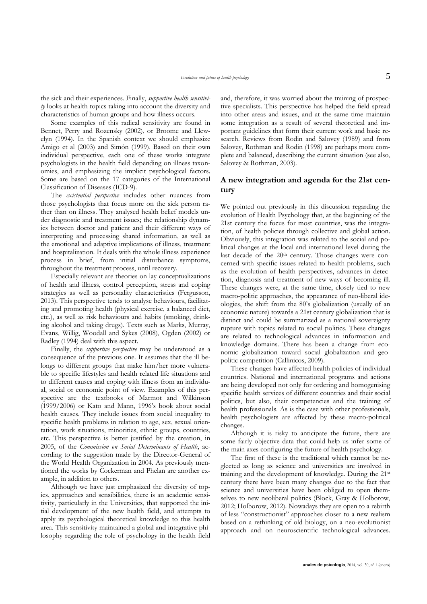the sick and their experiences. Finally, *supportive health sensitivity* looks at health topics taking into account the diversity and characteristics of human groups and how illness occurs.

Some examples of this radical sensitivity are found in Bennet, Perry and Rozensky (2002), or Broome and Llewelyn (1994). In the Spanish context we should emphasize Amigo et al (2003) and Simón (1999). Based on their own individual perspective, each one of these works integrate psychologists in the health field depending on illness taxonomies, and emphasizing the implicit psychological factors. Some are based on the 17 categories of the International Classification of Diseases (ICD-9).

The *existential perspective* includes other nuances from those psychologists that focus more on the sick person rather than on illness. They analysed health belief models under diagnostic and treatment issues; the relationship dynamics between doctor and patient and their different ways of interpreting and processing shared information, as well as the emotional and adaptive implications of illness, treatment and hospitalization. It deals with the whole illness experience process in brief, from initial disturbance symptoms, throughout the treatment process, until recovery.

Especially relevant are theories on lay conceptualizations of health and illness, control perception, stress and coping strategies as well as personality characteristics (Fergusson, 2013). This perspective tends to analyse behaviours, facilitating and promoting health (physical exercise, a balanced diet, etc.), as well as risk behaviours and habits (smoking, drinking alcohol and taking drugs). Texts such as Marks, Murray, Evans, Willig, Woodall and Sykes (2008), Ogden (2002) or Radley (1994) deal with this aspect.

Finally, the *supportive perspective* may be understood as a consequence of the previous one. It assumes that the ill belongs to different groups that make him/her more vulnerable to specific lifestyles and health related life situations and to different causes and coping with illness from an individual, social or economic point of view. Examples of this perspective are the textbooks of Marmot and Wilkinson (1999/2006) or Kato and Mann, 1996's book about social health causes. They include issues from social inequality to specific health problems in relation to age, sex, sexual orientation, work situations, minorities, ethnic groups, countries, etc. This perspective is better justified by the creation, in 2005, of the *Commission on Social Determinants of Health*, according to the suggestion made by the Director-General of the World Health Organization in 2004. As previously mentioned the works by Cockerman and Phelan are another example, in addition to others.

Although we have just emphasized the diversity of topics, approaches and sensibilities, there is an academic sensitivity, particularly in the Universities, that supported the initial development of the new health field, and attempts to apply its psychological theoretical knowledge to this health area. This sensitivity maintained a global and integrative philosophy regarding the role of psychology in the health field

and, therefore, it was worried about the training of prospective specialists. This perspective has helped the field spread into other areas and issues, and at the same time maintain some integration as a result of several theoretical and important guidelines that form their current work and basic research. Reviews from Rodin and Salovey (1989) and from Salovey, Rothman and Rodin (1998) are perhaps more complete and balanced, describing the current situation (see also, Salovey & Rothman, 2003).

## **A new integration and agenda for the 21st century**

We pointed out previously in this discussion regarding the evolution of Health Psychology that, at the beginning of the 21st century the focus for most countries, was the integration, of health policies through collective and global action. Obviously, this integration was related to the social and political changes at the local and international level during the last decade of the 20<sup>th</sup> century. Those changes were concerned with specific issues related to health problems, such as the evolution of health perspectives, advances in detection, diagnosis and treatment of new ways of becoming ill. These changes were, at the same time, closely tied to new macro-politic approaches, the appearance of neo-liberal ideologies, the shift from the 80's globalization (usually of an economic nature) towards a 21st century globalization that is distinct and could be summarized as a national sovereignty rupture with topics related to social politics. These changes are related to technological advances in information and knowledge domains. There has been a change from economic globalization toward social globalization and geopolitic competition (Callinicos, 2009).

These changes have affected health policies of individual countries. National and international programs and actions are being developed not only for ordering and homogenising specific health services of different countries and their social politics, but also, their competencies and the training of health professionals. As is the case with other professionals, health psychologists are affected by these macro-political changes.

Although it is risky to anticipate the future, there are some fairly objective data that could help us infer some of the main axes configuring the future of health psychology.

The first of these is the traditional which cannot be neglected as long as science and universities are involved in training and the development of knowledge. During the 21st century there have been many changes due to the fact that science and universities have been obliged to open themselves to new neoliberal politics (Block, Gray & Holborow, 2012; Holborow, 2012). Nowadays they are open to a rebirth of less "constructionist" approaches closer to a new realism based on a rethinking of old biology, on a neo-evolutionist approach and on neuroscientific technological advances.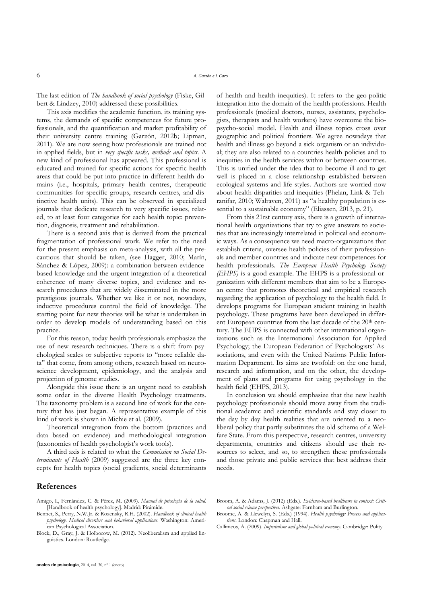The last edition of *The handbook of social psychology* (Fiske, Gilbert & Lindzey, 2010) addressed these possibilities.

This axis modifies the academic function, its training systems, the demands of specific competences for future professionals, and the quantification and market profitability of their university centre training (Garzón, 2012b; Lipman, 2011). We are now seeing how professionals are trained not in applied fields, but in *very specific tasks, methods and topics*. A new kind of professional has appeared. This professional is educated and trained for specific actions for specific health areas that could be put into practice in different health domains (i.e., hospitals, primary health centres, therapeutic communities for specific groups, research centres, and distinctive health units). This can be observed in specialized journals that dedicate research to very specific issues, related, to at least four categories for each health topic: prevention, diagnosis, treatment and rehabilitation.

There is a second axis that is derived from the practical fragmentation of professional work. We refer to the need for the present emphasis on meta-analysis, with all the precautious that should be taken, (see Hagger, 2010; Marín, Sánchez & López, 2009): a combination between evidencebased knowledge and the urgent integration of a theoretical coherence of many diverse topics, and evidence and research procedures that are widely disseminated in the more prestigious journals. Whether we like it or not, nowadays, inductive procedures control the field of knowledge. The starting point for new theories will be what is undertaken in order to develop models of understanding based on this practice.

For this reason, today health professionals emphasize the use of new research techniques. There is a shift from psychological scales or subjective reports to "more reliable data" that come, from among others, research based on neuroscience development, epidemiology, and the analysis and projection of genome studies.

Alongside this issue there is an urgent need to establish some order in the diverse Health Psychology treatments. The taxonomy problem is a second line of work for the century that has just began. A representative example of this kind of work is shown in Michie et al. (2009).

Theoretical integration from the bottom (practices and data based on evidence) and methodological integration (taxonomies of health psychologist's work tools).

A third axis is related to what the *Commission on Social Determinants of Health* (2009) suggested are the three key concepts for health topics (social gradients, social determinants of health and health inequities). It refers to the geo-politic integration into the domain of the health professions. Health professionals (medical doctors, nurses, assistants, psychologists, therapists and health workers) have overcome the biopsycho-social model. Health and illness topics cross over geographic and political frontiers. We agree nowadays that health and illness go beyond a sick organism or an individual; they are also related to a countries health policies and to inequities in the health services within or between countries. This is unified under the idea that to become ill and to get well is placed in a close relationship established between ecological systems and life styles. Authors are worried now about health disparities and inequities (Phelan, Link & Tehranifar, 2010; Walraven, 2011) as "a healthy population is essential to a sustainable economy" (Eliassen, 2013, p. 21).

From this 21rst century axis, there is a growth of international health organizations that try to give answers to societies that are increasingly interrelated in political and economic ways. As a consequence we need macro-organizations that establish criteria, oversee health policies of their professionals and member countries and indicate new competences for health professionals. *The European Health Psychology Society (EHPS)* is a good example. The EHPS is a professional organization with different members that aim to be a European centre that promotes theoretical and empirical research regarding the application of psychology to the health field. It develops programs for European student training in health psychology. These programs have been developed in different European countries from the last decade of the 20<sup>th</sup> century. The EHPS is connected with other international organizations such as the International Association for Applied Psychology; the European Federation of Psychologists' Associations, and even with the United Nations Public Information Department. Its aims are twofold: on the one hand, research and information, and on the other, the development of plans and programs for using psychology in the health field (EHPS, 2013).

In conclusion we should emphasize that the new health psychology professionals should move away from the traditional academic and scientific standards and stay closer to the day by day health realities that are oriented to a neoliberal policy that partly substitutes the old schema of a Welfare State. From this perspective, research centres, university departments, countries and citizens should use their resources to select, and so, to strengthen these professionals and those private and public services that best address their needs.

### **References**

- Amigo, I., Fernández, C. & Pérez, M. (2009). *Manual de psicología de la salud.*  [Handbook of health psychology]*.* Madrid: Pirámide.
- Bennet, S., Perry, N.W.Jr. & Rozensky, R.H. (2002). *Handbook of clinical health psychology. Medical disorders and behavioral applications*. Washington: American Psychological Association.
- Block, D., Gray, J. & Holborow, M. (2012). Neoliberalism and applied linguistics. London: Routledge.

Broom, A. & Adams, J. (2012) (Eds.). *Evidence-based healthcare in context: Critical social science perspectives*. Ashgate: Farnham and Burlington.

Broome, A. & Llewelyn, S. (Eds.) (1994). *Health psychology: Process and applications.* London: Chapman and Hall.

Callinicos, A. (2009). *Imperialism and global political economy.* Cambridge: Polity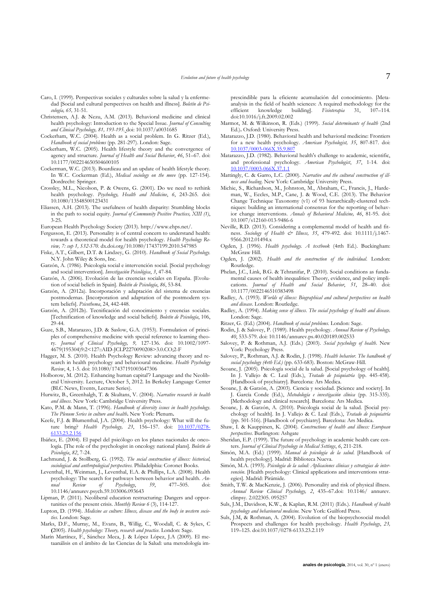- Caro, I. (1999). Perspectivas sociales y culturales sobre la salud y la enfermedad [Social and cultural perspectives on health and illness]. *Boletín de Psicología, 65,* 31-51.
- Christensen, A.J. & Nezu, A.M. (2013). Behavioral medicine and clinical health psychology: Introduction to the Special Issue. *Journal of Consulting and Clinical Psychology, 81, 193-195.* doi: 10.1037/a0031685
- Cockerham, W.C. (2004). Health as a social problem. In G. Ritzer (Ed.), *Handbook of social problems* (pp. 281-297). London: Sage.
- Cockerham, W.C. (2005). Health lifestyle theory and the convergence of agency and structure. *Journal of Health and Social Behavior*, *46*, 51–67. doi: 10.1177/002214650504600105
- Cockerman, W.C. (2013). Bourdieau and an update of health lifestyle theory. In W.C. Cockerman (Ed.), *Medical sociology on the move* (pp. 127-154). Dordrecht: Springer.
- Crossley, M.L., Nicolson, P. & Owens, G. (2001). Do we need to rethink health psychology*. Psychology, Health and Medicine*, *6*, 243-265. doi: 10.1080/13548500123431
- Eliassen, A.H. (2013). The usefulness of health disparity: Stumbling blocks in the path to social equity. *Journal of Community Positive Practices, XIII (1)*, 3-25.
- European Health Psychology Society (2013). http://www.ehps.net/.
- Fergusson, E. (2013). Personality is of central concern to understand health: towards a theoretical model for health psychology. *Health Psychology Review, 7: sup 1, S32-S70.* dx.doi.org/10.1080/17437199.2010.547985
- Fiske, A.T., Gilbert, D.T. & Lindzey, G. (2010). *Handbook of Social Psychology.*  N.Y. John Wiley & Sons, Inc.
- Garzón, A. (1986). Psicología social e intervención social. [Social psychology and social intervention]. *Investigación Psicológica*, *3*, 47-84.
- Garzón, A. (2006). Evolución de las creencias sociales en España. [Evolution of social beliefs in Spain]. *Boletín de Psicología*, *86*, 53-84.
- Garzón, A. (2012a). Incorporación y adaptación del sistema de creencias postmodernas. [Incorporation and adaptation of the postmodern system beliefs]. *Psicothema*, 24, 442-448.
- Garzón, A. (2012b). Tecnificación del conocimiento y creencias sociales. [Technification of knowledge and social beliefs]. *Boletín de Psicología*, 106, 29-44.
- Guze, S.B., Matarazzo, J.D. & Saslow, G.A. (1953). Formulation of principles of comprehensive medicine with special reference to learning theory. *Journal of Clinical Psychology, 9,* 127-136. doi: 10.1002/1097- 4679(195304)9:2<127::AID-JCLP2270090208>3.0.CO;2-F
- Hagger, M. S. (2010). Health Psychology Review: advancing theory and research in health psychology and behavioural medicine. *Health Psychology Review*, 4, 1-5. doi: 10.1080/17437191003647306
- Holborow, M. (2012). [Enhancing human capital'? Language and the Neoli](http://events.berkeley.edu/index.php/calendar/sn/?event_ID=59481&date=2012-10-05&filter=Event%20Type&filtersel=)b[eral University.](http://events.berkeley.edu/index.php/calendar/sn/?event_ID=59481&date=2012-10-05&filter=Event%20Type&filtersel=) Lecture, October 5, 2012. In [Berkeley Language Center](http://blc.berkeley.edu/) (BLC News, Events, Lecture Series).
- Hurwitz, B., Greenhalgh, T. & Skultans, V. (2004). *Narrative research in health and illness*. New York: Cambridge University Press.
- Kato, P.M. & Mann, T. (1996). *Handbook of diversity issues in health psychology*. *The Plenum Series in culture and health***.** New York: Plenum**.**
- Keefe, F.J. & Blumenthal, J.A. (2004). Health psychology: What will the future bring? *Health Psychology, 23*, 156–157. doi: [10.1037/0278-](http://psycnet.apa.org/doi/10.1037/0278-6133.23.2.156) [6133.23.2.156](http://psycnet.apa.org/doi/10.1037/0278-6133.23.2.156)
- Ibáñez, E. (2004). El papel del psicólogo en los planes nacionales de oncología. [The role of the psychologist in oncology national plans]. *Boletín de Psicología*, *82*, 7-24.
- Lachmund, J. & Stollberg, G. (1992). *The social construction of illness: historical, sociological and anthropological perspectives*. Philadelphia: Coronet Books.
- Leventhal, H., Weinman, J., Leventhal, E.A. & Phillips, L.A. (2008). Health psychology: The search for pathways between behavior and health. *Annual Review of Psychology*, *59*, 477–505. doi: 10.1146/annurev.psych.59.103006.093643
- Lipman, P. (2011). Neoliberal education restructuring: Dangers and opportunities of the present crisis. *Monthly Review 6* (3), 114-127.
- Lupton, D. (1994). *Medicine as culture: Illness, disease and the body in western societies*. London: Sage.
- Marks, D.F., Murray, M., Evans, B., Willig, C., Woodall, C. & Sykes, C **(**2005). *Health psychology: Theory, research and practice.* London: Sage.
- Marín Martínez, F., Sánchez Meca, J. & López López, J.A (2009). El metaanálisis en el ámbito de las Ciencias de la Salud: una metodología im-

prescindible para la eficiente acumulación del conocimiento. [Metaanalysis in the field of health sciences: A required methodology for the efficient knowledge building]. Fisioterapia 31, 107-114. efficient knowledge building]. *Fisioterapia* 31, 107–114. doi:10.1016/j.ft.2009.02.002

- Marmot, M. & Wilkinson, R. (Eds.) (1999). *Social determinants of health* (2nd Ed.)**.** Oxford: University Press.
- Matarazzo, J.D. (1980). Behavioral health and behavioral medicine: Frontiers for a new health psychology. *American Psychologist, 35*, 807-817. doi: [10.1037/0003-066X.35.9.807](http://psycnet.apa.org/doi/10.1037/0003-066X.35.9.807)
- Matarazzo, J.D. (1982). Behavioral health's challenge to academic, scientific, and professional psychology. *American Psychologist*, *37*, 1-14. doi: [10.1037/0003-066X.37.1.1](http://psycnet.apa.org/doi/10.1037/0003-066X.37.1.1)
- Mattingly, C. & Garro, L.C. (2000). *Narrative and the cultural construction of illness and healing*. New York: Cambridge University Press.
- Michie, S., Richardson, M., Johnston, M., Abraham, C., Francis, J., Hardeman, W., Eccles, M.P., Cane, J. & Wood, C.E. (2013). The Behavior Change Technique Taxonomy (v1) of 93 hierarchically-clustered techniques: building an international consensus for the reporting of behavior change interventions. *Annals of Behavioral Medicine, 46*, 81-95. doi: 10.1007/s12160-013-9486-6
- Neville, R.D. (2013). Considering a complemental model of health and fitness. *Sociology of Health & Illness, 35*, 479-492. doi: 10.1111/j.1467- 9566.2012.01494.x
- Ogden, J. (1996). *Health psychology. A textbook* (4rth Ed.). Buckingham: McGraw Hill.
- Ogden, J. (2002). *Health and the construction of the individual*. London: Routledge.
- Phelan, J.C., Link, B.G. & Tehranifar, P. (2010). Social conditions as fundamental causes of health inequalities: Theory, evidence, and policy implications. *Journal of Health and Social Behavior*, *51*, 28–40. doi: 10.1177/0022146510383498
- Radley, A. (1993). *Worlds of illness: Biographical and cultural perspectives on health and disease*. London: Routledge.
- Radley, A. (1994). *Making sense of illness*. *The social psychology of health and disease*. London: Sage.
- Ritzer, G. (Ed.) (2004). *Handbook of social problems.* London: Sage.
- Rodin, J. & Salovey, P. (1989). Health psychology. *Annual Review of Psychology, 40*, 533-579. doi: 10.1146/annurev.ps.40.020189.002533
- Salovey, P. & Rothman, A.J. (Eds.) (2003). *Social psychology of health*. New York: Psychology Press.
- Salovey, P., Rothman, A.J. & Rodin, J. (1998). *Health behavior*. *The handbook of social psychology (4rth Ed.)* (pp. 633-683). Boston: McGraw-Hill.
- Seoane, J. (2005). Psicología social de la salud. [Social psychology of health]. In J. Vallejo & C. Leal (Eds.), *Tratado de psiquiatría* (pp. 445-458). [Handbook of psychiatry]. Barcelona: Ars Medica.
- Seoane, J. & Garzón, A. (2003). Ciencia y sociedad. [Science and society]. In J. García Conde (Ed.), *Metodología e investigación clínica* (pp. 315-335). [Methodology and clinical research]*.* Barcelona: Ars Medica.
- Seoane, J. & Garzón, A. (2010). Psicología social de la salud. [Social psychology of health]. In J. Vallejo & C. Leal (Eds.), *Tratado de psiquiatría* (pp. 501-516). [Handbook of psychiatry]. Barcelona: Ars Medica.
- Shaw, I. & Kauppinen, K. (2004). *Constructions of health and illness: European perspectives*. Burlington: Ashgate
- Sheridan, E.P. (1999). The future of psychology in academic health care centers. *Journal of Clinical Psychology in Medical Settings*, *6*, 211-218.
- Simón, M.A. (Ed.) (1999). *Manual de psicología de la salud*. [Handbook of health psychology]. Madrid: Biblioteca Nueva.
- Simón, M.A. (1993). *Psicología de la salud: Aplicaciones clínicas y estrategias de intervención*. [Health psychology: Clinical applications and interventions strategies]. Madrid: Pirámide.
- Smith, T.W. & MacKenzie, J. (2006). Personality and risk of physical illness. *Annual Review Clinical Psychology, 2*, 435–67.doi: 10.1146/ annurev. clinpsy. 2.022305. 095257
- Suls, J.M., Davidson, K.W., & Kaplan, R.M. (2011) (Eds.). *Handbook of health psychology and behavioural medicine.* New York: Guilford Press.
- Suls, J.M, & Rothman, A. (2004). Evolution of the biopsychosocial model: Prospects and challenges for health psychology. *Health Psychology*, *23,* 119–125. doi:10.1037/0278-6133.23.2.119